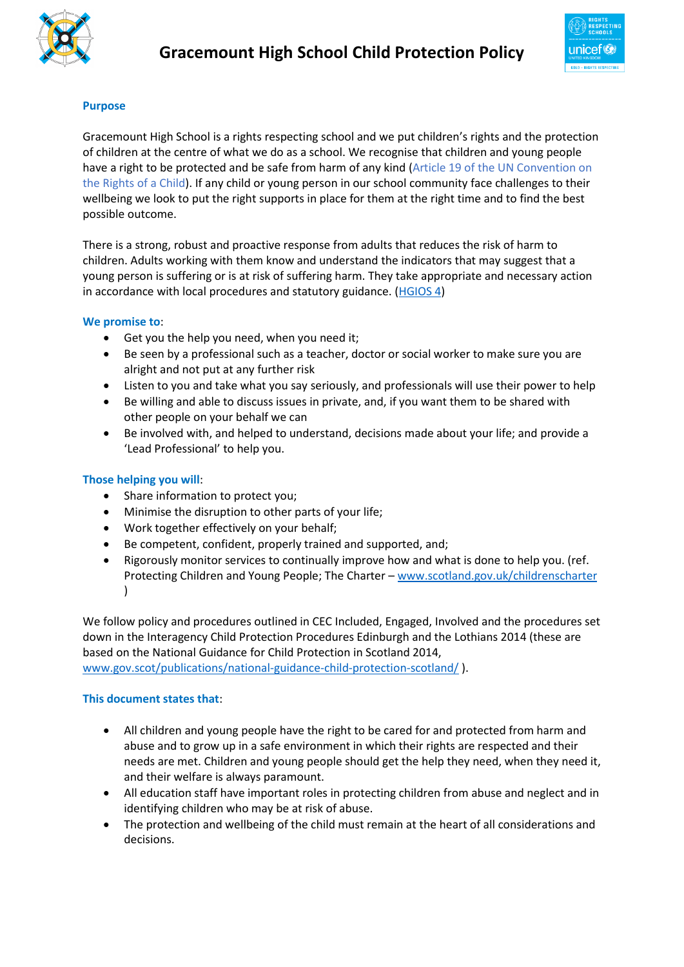



## **Purpose**

Gracemount High School is a rights respecting school and we put children's rights and the protection of children at the centre of what we do as a school. We recognise that children and young people have a right to be protected and be safe from harm of any kind (Article 19 of the UN Convention on the Rights of a Child). If any child or young person in our school community face challenges to their wellbeing we look to put the right supports in place for them at the right time and to find the best possible outcome.

There is a strong, robust and proactive response from adults that reduces the risk of harm to children. Adults working with them know and understand the indicators that may suggest that a young person is suffering or is at risk of suffering harm. They take appropriate and necessary action in accordance with local procedures and statutory guidance. [\(HGIOS 4\)](https://education.gov.scot/nih/Documents/Frameworks_SelfEvaluation/FRWK2_NIHeditHGIOS/FRWK2_HGIOS4.pdf)

## **We promise to**:

- Get you the help you need, when you need it;
- Be seen by a professional such as a teacher, doctor or social worker to make sure you are alright and not put at any further risk
- Listen to you and take what you say seriously, and professionals will use their power to help
- Be willing and able to discuss issues in private, and, if you want them to be shared with other people on your behalf we can
- Be involved with, and helped to understand, decisions made about your life; and provide a 'Lead Professional' to help you.

# **Those helping you will**:

- Share information to protect you;
- Minimise the disruption to other parts of your life;
- Work together effectively on your behalf;
- Be competent, confident, properly trained and supported, and;
- Rigorously monitor services to continually improve how and what is done to help you. (ref. Protecting Children and Young People; The Charter – [www.scotland.gov.uk/childrenscharter](http://www.scotland.gov.uk/childrenscharter) )

We follow policy and procedures outlined in CEC Included, Engaged, Involved and the procedures set down in the Interagency Child Protection Procedures Edinburgh and the Lothians 2014 (these are based on the National Guidance for Child Protection in Scotland 2014, [www.gov.scot/publications/national-guidance-child-protection-scotland/](http://www.gov.scot/publications/national-guidance-child-protection-scotland/) ).

### **This document states that**:

- All children and young people have the right to be cared for and protected from harm and abuse and to grow up in a safe environment in which their rights are respected and their needs are met. Children and young people should get the help they need, when they need it, and their welfare is always paramount.
- All education staff have important roles in protecting children from abuse and neglect and in identifying children who may be at risk of abuse.
- The protection and wellbeing of the child must remain at the heart of all considerations and decisions.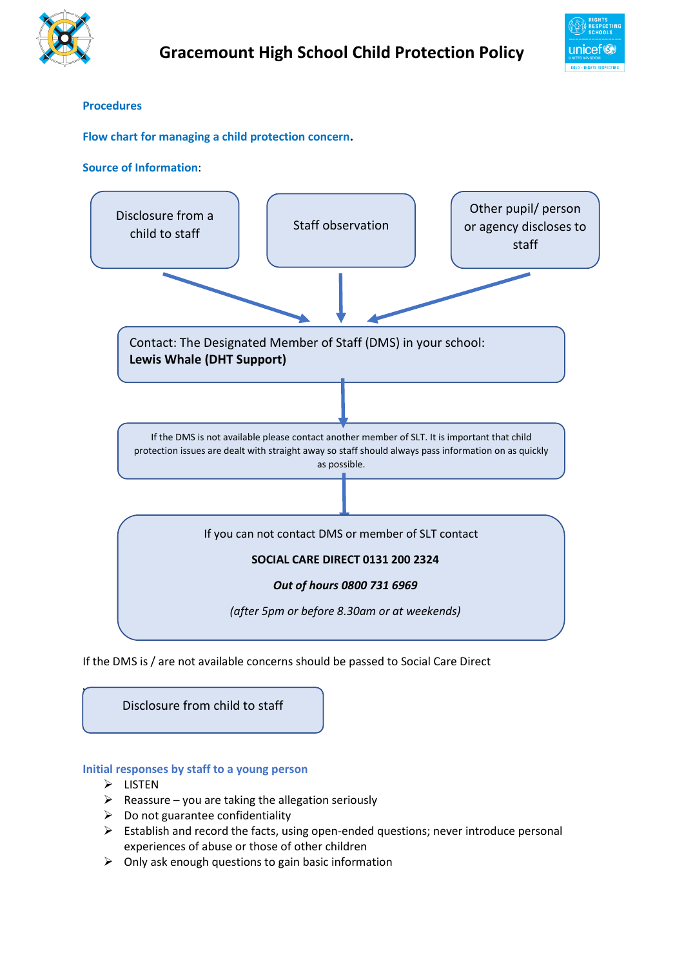



# **Procedures**

**Flow chart for managing a child protection concern.** 

### **Source of Information**:



If the DMS is / are not available concerns should be passed to Social Care Direct



### **Initial responses by staff to a young person**

- ➢ LISTEN
- $\triangleright$  Reassure you are taking the allegation seriously
- $\triangleright$  Do not guarantee confidentiality
- ➢ Establish and record the facts, using open-ended questions; never introduce personal experiences of abuse or those of other children
- $\triangleright$  Only ask enough questions to gain basic information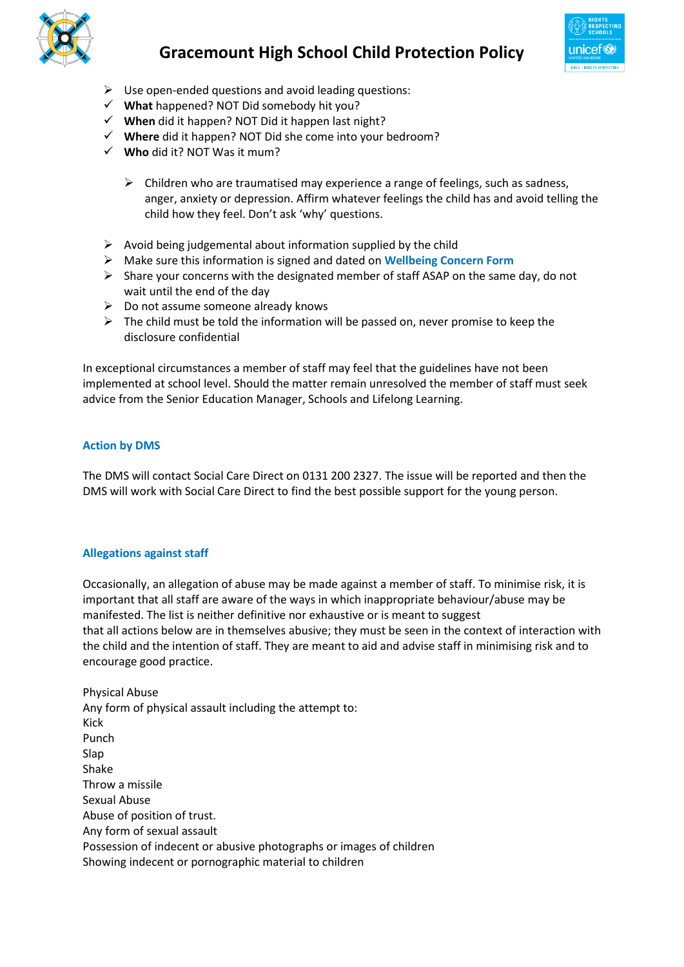

# **Gracemount High School Child Protection Policy**



- $\triangleright$  Use open-ended questions and avoid leading questions:
- ✓ **What** happened? NOT Did somebody hit you?
- ✓ **When** did it happen? NOT Did it happen last night?
- ✓ **Where** did it happen? NOT Did she come into your bedroom?
- ✓ **Who** did it? NOT Was it mum?
	- $\triangleright$  Children who are traumatised may experience a range of feelings, such as sadness, anger, anxiety or depression. Affirm whatever feelings the child has and avoid telling the child how they feel. Don't ask 'why' questions.
- $\triangleright$  Avoid being judgemental about information supplied by the child
- ➢ Make sure this information is signed and dated on **Wellbeing Concern Form**
- $\triangleright$  Share your concerns with the designated member of staff ASAP on the same day, do not wait until the end of the day
- ➢ Do not assume someone already knows
- $\triangleright$  The child must be told the information will be passed on, never promise to keep the disclosure confidential

In exceptional circumstances a member of staff may feel that the guidelines have not been implemented at school level. Should the matter remain unresolved the member of staff must seek advice from the Senior Education Manager, Schools and Lifelong Learning.

## **Action by DMS**

The DMS will contact Social Care Direct on 0131 200 2327. The issue will be reported and then the DMS will work with Social Care Direct to find the best possible support for the young person.

### **Allegations against staff**

Occasionally, an allegation of abuse may be made against a member of staff. To minimise risk, it is important that all staff are aware of the ways in which inappropriate behaviour/abuse may be manifested. The list is neither definitive nor exhaustive or is meant to suggest that all actions below are in themselves abusive; they must be seen in the context of interaction with the child and the intention of staff. They are meant to aid and advise staff in minimising risk and to encourage good practice.

Physical Abuse Any form of physical assault including the attempt to: Kick Punch Slap Shake Throw a missile Sexual Abuse Abuse of position of trust. Any form of sexual assault Possession of indecent or abusive photographs or images of children Showing indecent or pornographic material to children